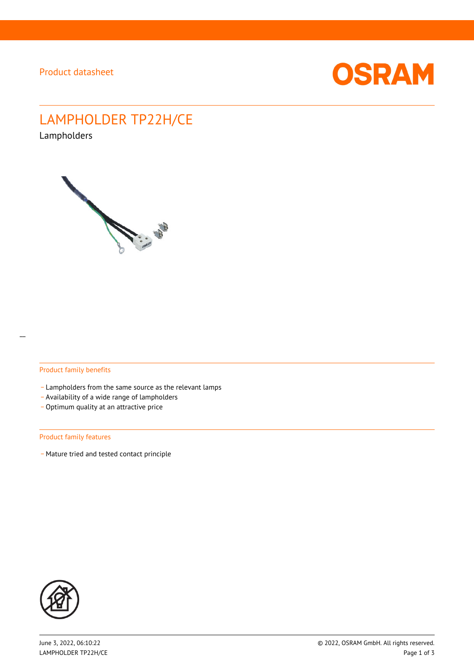

# LAMPHOLDER TP22H/CE

Lampholders



#### Product family benefits

- Lampholders from the same source as the relevant lamps
- \_ Availability of a wide range of lampholders
- Optimum quality at an attractive price

#### Product family features

- Mature tried and tested contact principle

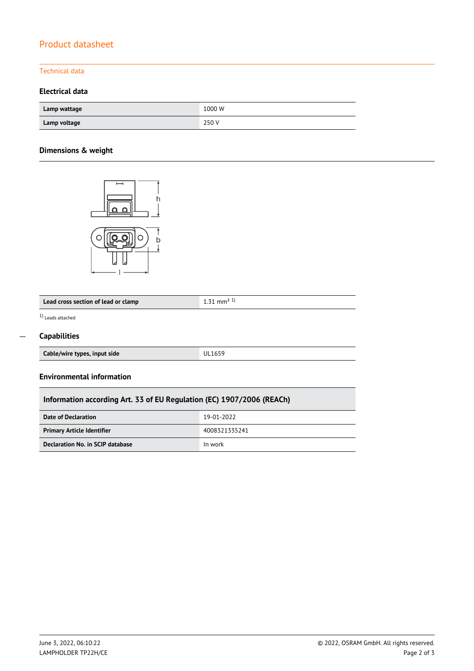# Product datasheet

### Technical data

## **Electrical data**

| Lamp wattage | 1000 W |
|--------------|--------|
| Lamp voltage | 250 V  |

## **Dimensions & weight**



| Lead cross section of lead or clamp |  |
|-------------------------------------|--|
|-------------------------------------|--|

1) Leads attached

 $\overline{\phantom{a}}$ 

### $\overline{a}$

| <b>Capabilities</b> |  |
|---------------------|--|
|---------------------|--|

| Cable/wire types, input side | <b>UL1659</b> |
|------------------------------|---------------|
|                              |               |

#### **Environmental information**

## **Information according Art. 33 of EU Regulation (EC) 1907/2006 (REACh)**

| Date of Declaration               | 19-01-2022    |
|-----------------------------------|---------------|
| <b>Primary Article Identifier</b> | 4008321335241 |
| Declaration No. in SCIP database  | In work       |